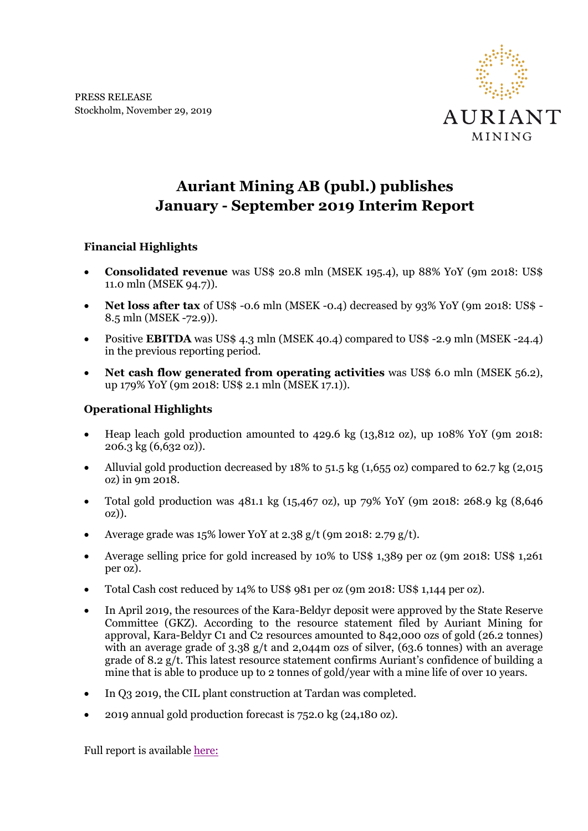PRESS RELEASE Stockholm, November 29, 2019



## **Auriant Mining AB (publ.) publishes January - September 2019 Interim Report**

## **Financial Highlights**

- **Consolidated revenue** was US\$ 20.8 mln (MSEK 195.4), up 88% YoY (9m 2018: US\$ 11.0 mln (MSEK 94.7)).
- **Net loss after tax** of US\$ -0.6 mln (MSEK -0.4) decreased by 93% YoY (9m 2018: US\$ 8.5 mln (MSEK -72.9)).
- Positive **EBITDA** was US\$ 4.3 mln (MSEK 40.4) compared to US\$ -2.9 mln (MSEK -24.4) in the previous reporting period.
- **Net cash flow generated from operating activities** was US\$ 6.0 mln (MSEK 56.2), up 179% YoY (9m 2018: US\$ 2.1 mln (MSEK 17.1)).

## **Operational Highlights**

- Heap leach gold production amounted to 429.6 kg (13,812 oz), up 108% YoY (9m 2018: 206.3 kg (6,632 oz)).
- Alluvial gold production decreased by 18% to 51.5 kg (1,655 oz) compared to 62.7 kg (2,015 oz) in 9m 2018.
- Total gold production was 481.1 kg (15,467 oz), up 79% YoY (9m 2018: 268.9 kg (8,646 oz)).
- Average grade was 15% lower YoY at 2.38 g/t (9m 2018: 2.79 g/t).
- Average selling price for gold increased by 10% to US\$ 1,389 per oz (9m 2018: US\$ 1,261 per oz).
- Total Cash cost reduced by 14% to US\$ 981 per oz (9m 2018: US\$ 1,144 per oz).
- In April 2019, the resources of the Kara-Beldyr deposit were approved by the State Reserve Committee (GKZ). According to the resource statement filed by Auriant Mining for approval, Kara-Beldyr C1 and C2 resources amounted to 842,000 ozs of gold (26.2 tonnes) with an average grade of 3.38 g/t and 2.044m ozs of silver, (63.6 tonnes) with an average grade of 8.2 g/t. This latest resource statement confirms Auriant's confidence of building a mine that is able to produce up to 2 tonnes of gold/year with a mine life of over 10 years.
- In Q3 2019, the CIL plant construction at Tardan was completed.
- 2019 annual gold production forecast is 752.0 kg (24,180 oz).

Full report is available [here:](http://www.auriant.com/eng/reports-and-releases/2019)